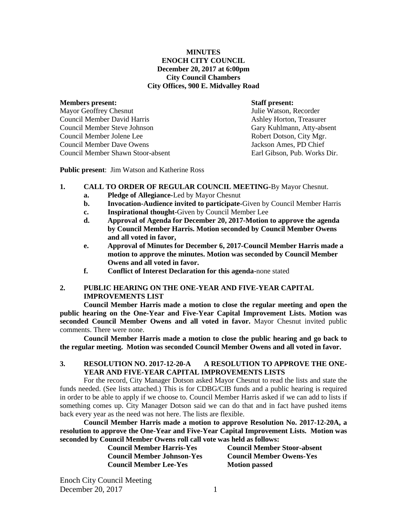#### **MINUTES ENOCH CITY COUNCIL December 20, 2017 at 6:00pm City Council Chambers City Offices, 900 E. Midvalley Road**

#### **Members present: Staff present:**

Mayor Geoffrey Chesnut Tulie Watson, Recorder Council Member David Harris **Ashley Horton, Treasurer** Ashley Horton, Treasurer Council Member Steve Johnson Gary Kuhlmann, Atty-absent Council Member Jolene Lee Robert Dotson, City Mgr. Council Member Dave Owens Jackson Ames, PD Chief Council Member Shawn Stoor-absent Earl Gibson, Pub. Works Dir.

**Public present**: Jim Watson and Katherine Ross

## **1. CALL TO ORDER OF REGULAR COUNCIL MEETING-**By Mayor Chesnut.

- **a. Pledge of Allegiance-**Led by Mayor Chesnut
- **b. Invocation-Audience invited to participate-**Given by Council Member Harris
- **c. Inspirational thought-**Given by Council Member Lee
- **d. Approval of Agenda for December 20, 2017-Motion to approve the agenda by Council Member Harris. Motion seconded by Council Member Owens and all voted in favor,**
- **e. Approval of Minutes for December 6, 2017-Council Member Harris made a motion to approve the minutes. Motion was seconded by Council Member Owens and all voted in favor.**
- **f. Conflict of Interest Declaration for this agenda-**none stated

## **2. PUBLIC HEARING ON THE ONE-YEAR AND FIVE-YEAR CAPITAL IMPROVEMENTS LIST**

**Council Member Harris made a motion to close the regular meeting and open the public hearing on the One-Year and Five-Year Capital Improvement Lists. Motion was seconded Council Member Owens and all voted in favor.** Mayor Chesnut invited public comments. There were none.

**Council Member Harris made a motion to close the public hearing and go back to the regular meeting. Motion was seconded Council Member Owens and all voted in favor.**

#### **3. RESOLUTION NO. 2017-12-20-A A RESOLUTION TO APPROVE THE ONE-YEAR AND FIVE-YEAR CAPITAL IMPROVEMENTS LISTS**

For the record, City Manager Dotson asked Mayor Chesnut to read the lists and state the funds needed. (See lists attached.) This is for CDBG/CIB funds and a public hearing is required in order to be able to apply if we choose to. Council Member Harris asked if we can add to lists if something comes up. City Manager Dotson said we can do that and in fact have pushed items back every year as the need was not here. The lists are flexible.

**Council Member Harris made a motion to approve Resolution No. 2017-12-20A, a resolution to approve the One-Year and Five-Year Capital Improvement Lists. Motion was seconded by Council Member Owens roll call vote was held as follows:** 

| <b>Council Member Harris-Yes</b>  | <b>Council Member Stoor-absent</b> |
|-----------------------------------|------------------------------------|
| <b>Council Member Johnson-Yes</b> | <b>Council Member Owens-Yes</b>    |
| <b>Council Member Lee-Yes</b>     | <b>Motion passed</b>               |

Enoch City Council Meeting December 20, 2017 1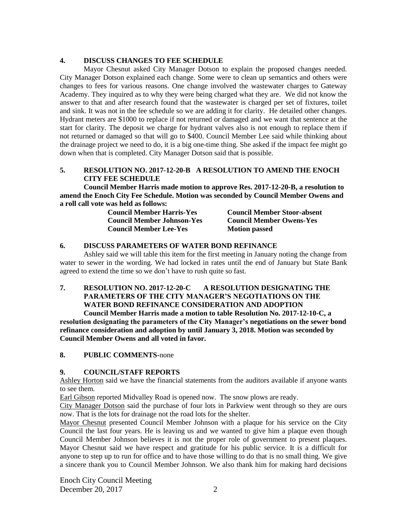#### **4. DISCUSS CHANGES TO FEE SCHEDULE**

Mayor Chesnut asked City Manager Dotson to explain the proposed changes needed. City Manager Dotson explained each change. Some were to clean up semantics and others were changes to fees for various reasons. One change involved the wastewater charges to Gateway Academy. They inquired as to why they were being charged what they are. We did not know the answer to that and after research found that the wastewater is charged per set of fixtures, toilet and sink. It was not in the fee schedule so we are adding it for clarity. He detailed other changes. Hydrant meters are \$1000 to replace if not returned or damaged and we want that sentence at the start for clarity. The deposit we charge for hydrant valves also is not enough to replace them if not returned or damaged so that will go to \$400. Council Member Lee said while thinking about the drainage project we need to do, it is a big one-time thing. She asked if the impact fee might go down when that is completed. City Manager Dotson said that is possible.

## **5. RESOLUTION NO. 2017-12-20-B A RESOLUTION TO AMEND THE ENOCH CITY FEE SCHEDULE**

**Council Member Harris made motion to approve Res. 2017-12-20-B, a resolution to amend the Enoch City Fee Schedule. Motion was seconded by Council Member Owens and a roll call vote was held as follows:** 

| <b>Council Member Harris-Yes</b>  | <b>Council Member Stoor-absent</b> |
|-----------------------------------|------------------------------------|
| <b>Council Member Johnson-Yes</b> | <b>Council Member Owens-Yes</b>    |
| <b>Council Member Lee-Yes</b>     | <b>Motion passed</b>               |

#### **6. DISCUSS PARAMETERS OF WATER BOND REFINANCE**

Ashley said we will table this item for the first meeting in January noting the change from water to sewer in the wording. We had locked in rates until the end of January but State Bank agreed to extend the time so we don't have to rush quite so fast.

# **7. RESOLUTION NO. 2017-12-20-C A RESOLUTION DESIGNATING THE PARAMETERS OF THE CITY MANAGER'S NEGOTIATIONS ON THE WATER BOND REFINANCE CONSIDERATION AND ADOPTION**

**Council Member Harris made a motion to table Resolution No. 2017-12-10-C, a resolution designating the parameters of the City Manager's negotiations on the sewer bond refinance consideration and adoption by until January 3, 2018. Motion was seconded by Council Member Owens and all voted in favor.**

#### **8. PUBLIC COMMENTS-**none

#### **9. COUNCIL/STAFF REPORTS**

Ashley Horton said we have the financial statements from the auditors available if anyone wants to see them.

Earl Gibson reported Midvalley Road is opened now. The snow plows are ready.

City Manager Dotson said the purchase of four lots in Parkview went through so they are ours now. That is the lots for drainage not the road lots for the shelter.

Mayor Chesnut presented Council Member Johnson with a plaque for his service on the City Council the last four years. He is leaving us and we wanted to give him a plaque even though Council Member Johnson believes it is not the proper role of government to present plaques. Mayor Chesnut said we have respect and gratitude for his public service. It is a difficult for anyone to step up to run for office and to have those willing to do that is no small thing. We give a sincere thank you to Council Member Johnson. We also thank him for making hard decisions

Enoch City Council Meeting December 20, 2017 2